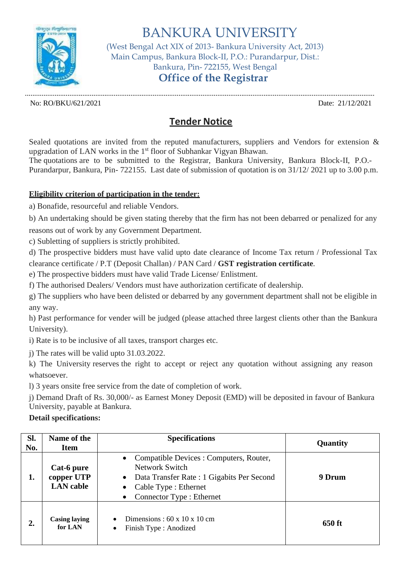

BANKURA UNIVERSITY (West Bengal Act XIX of 2013- Bankura University Act, 2013) Main Campus, Bankura Block-II, P.O.: Purandarpur, Dist.: Bankura, Pin- 722155, West Bengal **Office of the Registrar**

............................................................................................................................................................................................. No: RO/BKU/621/2021 Date: 21/12/2021

## **Tender Notice**

Sealed quotations are invited from the reputed manufacturers, suppliers and Vendors for extension & upgradation of LAN works in the 1<sup>st</sup> floor of Subhankar Vigyan Bhawan. The quotations are to be submitted to the Registrar, Bankura University, Bankura Block-II, P.O.-

Purandarpur, Bankura, Pin- 722155. Last date of submission of quotation is on 31/12/ 2021 up to 3.00 p.m.

## **Eligibility criterion of participation in the tender:**

a) Bonafide, resourceful and reliable Vendors.

b) An undertaking should be given stating thereby that the firm has not been debarred or penalized for any reasons out of work by any Government Department.

c) Subletting of suppliers is strictly prohibited.

d) The prospective bidders must have valid upto date clearance of Income Tax return / Professional Tax clearance certificate / P.T (Deposit Challan) / PAN Card / **GST registration certificate**.

e) The prospective bidders must have valid Trade License/ Enlistment.

f) The authorised Dealers/ Vendors must have authorization certificate of dealership.

g) The suppliers who have been delisted or debarred by any government department shall not be eligible in any way.

h) Past performance for vender will be judged (please attached three largest clients other than the Bankura University).

i) Rate is to be inclusive of all taxes, transport charges etc.

j) The rates will be valid upto 31.03.2022.

k) The University reserves the right to accept or reject any quotation without assigning any reason whatsoever.

l) 3 years onsite free service from the date of completion of work.

j) Demand Draft of Rs. 30,000/- as Earnest Money Deposit (EMD) will be deposited in favour of Bankura University, payable at Bankura.

## **Detail specifications:**

| SI.<br>No. | Name of the<br><b>Item</b>                   | <b>Specifications</b>                                                                                                                                                                                            | Quantity |
|------------|----------------------------------------------|------------------------------------------------------------------------------------------------------------------------------------------------------------------------------------------------------------------|----------|
| 1.         | Cat-6 pure<br>copper UTP<br><b>LAN</b> cable | Compatible Devices : Computers, Router,<br>$\bullet$<br>Network Switch<br>Data Transfer Rate: 1 Gigabits Per Second<br>$\bullet$<br>Cable Type : Ethernet<br>$\bullet$<br>Connector Type : Ethernet<br>$\bullet$ | 9 Drum   |
| 2.         | <b>Casing laying</b><br>for LAN              | Dimensions: $60 \times 10 \times 10$ cm<br>Finish Type : Anodized<br>$\bullet$                                                                                                                                   | 650 ft   |